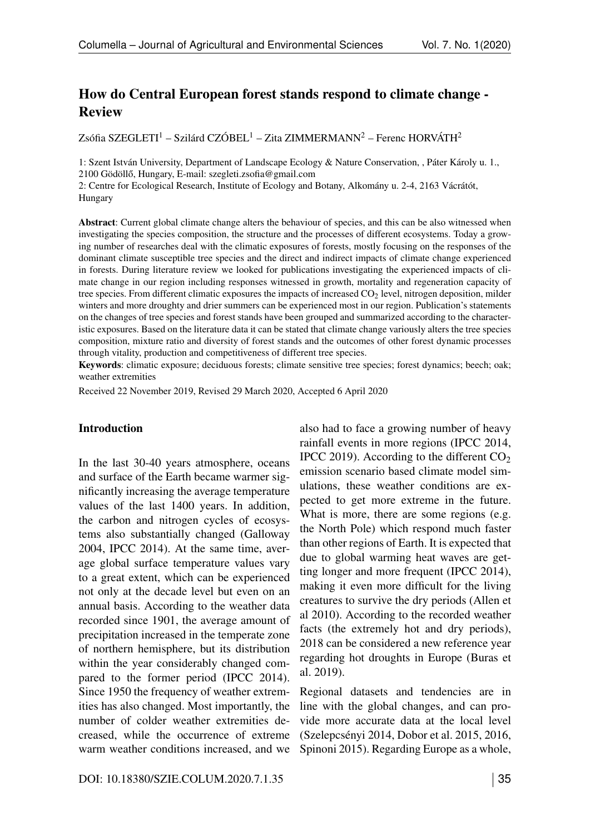# How do Central European forest stands respond to climate change - Review

Zsófia SZEGLETI<sup>1</sup> – Szilárd CZÓBEL<sup>1</sup> – Zita ZIMMERMANN<sup>2</sup> – Ferenc HORVÁTH<sup>2</sup>

1: Szent István University, Department of Landscape Ecology & Nature Conservation, , Páter Károly u. 1.,  $2100$  Gödöllő, Hungary, E-mail: szegleti.zsofia@gmail.com

2: Centre for Ecological Research, Institute of Ecology and Botany, Alkomány u. 2-4, 2163 Vácrátót, Hungary

Abstract: Current global climate change alters the behaviour of species, and this can be also witnessed when investigating the species composition, the structure and the processes of different ecosystems. Today a growing number of researches deal with the climatic exposures of forests, mostly focusing on the responses of the dominant climate susceptible tree species and the direct and indirect impacts of climate change experienced in forests. During literature review we looked for publications investigating the experienced impacts of climate change in our region including responses witnessed in growth, mortality and regeneration capacity of tree species. From different climatic exposures the impacts of increased  $CO<sub>2</sub>$  level, nitrogen deposition, milder winters and more droughty and drier summers can be experienced most in our region. Publication's statements on the changes of tree species and forest stands have been grouped and summarized according to the characteristic exposures. Based on the literature data it can be stated that climate change variously alters the tree species composition, mixture ratio and diversity of forest stands and the outcomes of other forest dynamic processes through vitality, production and competitiveness of different tree species.

Keywords: climatic exposure; deciduous forests; climate sensitive tree species; forest dynamics; beech; oak; weather extremities

Received 22 November 2019, Revised 29 March 2020, Accepted 6 April 2020

#### Introduction

In the last 30-40 years atmosphere, oceans and surface of the Earth became warmer significantly increasing the average temperature values of the last 1400 years. In addition, the carbon and nitrogen cycles of ecosystems also substantially changed (Galloway 2004, IPCC 2014). At the same time, average global surface temperature values vary to a great extent, which can be experienced not only at the decade level but even on an annual basis. According to the weather data recorded since 1901, the average amount of precipitation increased in the temperate zone of northern hemisphere, but its distribution within the year considerably changed compared to the former period (IPCC 2014). Since 1950 the frequency of weather extremities has also changed. Most importantly, the number of colder weather extremities decreased, while the occurrence of extreme warm weather conditions increased, and we also had to face a growing number of heavy rainfall events in more regions (IPCC 2014, IPCC 2019). According to the different  $CO<sub>2</sub>$ emission scenario based climate model simulations, these weather conditions are expected to get more extreme in the future. What is more, there are some regions (e.g. the North Pole) which respond much faster than other regions of Earth. It is expected that due to global warming heat waves are getting longer and more frequent (IPCC 2014), making it even more difficult for the living creatures to survive the dry periods (Allen et al 2010). According to the recorded weather facts (the extremely hot and dry periods), 2018 can be considered a new reference year regarding hot droughts in Europe (Buras et al. 2019).

Regional datasets and tendencies are in line with the global changes, and can provide more accurate data at the local level (Szelepcsényi 2014, Dobor et al. 2015, 2016, Spinoni 2015). Regarding Europe as a whole,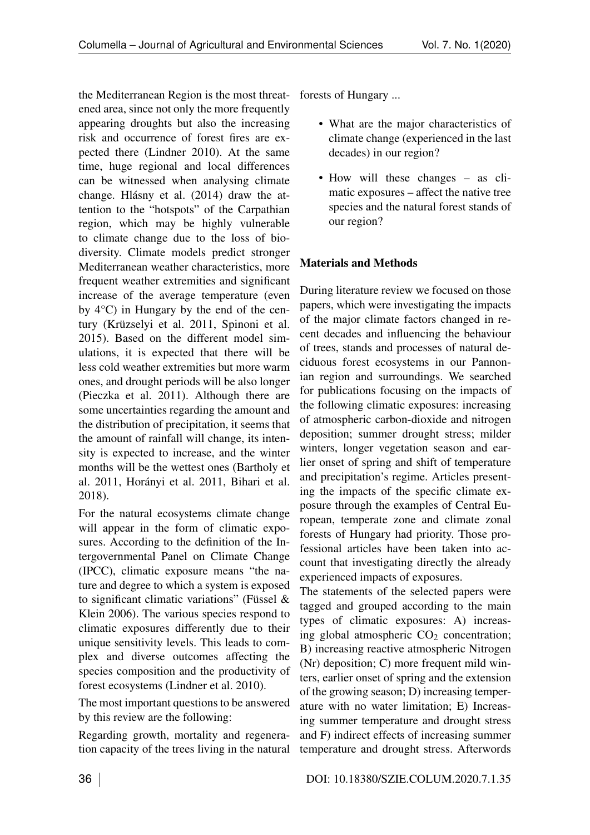the Mediterranean Region is the most threat-forests of Hungary ... ened area, since not only the more frequently appearing droughts but also the increasing risk and occurrence of forest fires are expected there (Lindner 2010). At the same time, huge regional and local differences can be witnessed when analysing climate change. Hlásny et al. (2014) draw the attention to the "hotspots" of the Carpathian region, which may be highly vulnerable to climate change due to the loss of biodiversity. Climate models predict stronger Mediterranean weather characteristics, more frequent weather extremities and significant increase of the average temperature (even by 4°C) in Hungary by the end of the century (Krüzselyi et al. 2011, Spinoni et al. 2015). Based on the different model simulations, it is expected that there will be less cold weather extremities but more warm ones, and drought periods will be also longer (Pieczka et al. 2011). Although there are some uncertainties regarding the amount and the distribution of precipitation, it seems that the amount of rainfall will change, its intensity is expected to increase, and the winter months will be the wettest ones (Bartholy et al. 2011, Horányi et al. 2011, Bihari et al. 2018).

For the natural ecosystems climate change will appear in the form of climatic exposures. According to the definition of the Intergovernmental Panel on Climate Change (IPCC), climatic exposure means "the nature and degree to which a system is exposed to significant climatic variations" (Füssel & Klein 2006). The various species respond to climatic exposures differently due to their unique sensitivity levels. This leads to complex and diverse outcomes affecting the species composition and the productivity of forest ecosystems (Lindner et al. 2010).

The most important questions to be answered by this review are the following:

Regarding growth, mortality and regeneration capacity of the trees living in the natural

- What are the major characteristics of climate change (experienced in the last decades) in our region?
- How will these changes as climatic exposures – affect the native tree species and the natural forest stands of our region?

## Materials and Methods

During literature review we focused on those papers, which were investigating the impacts of the major climate factors changed in recent decades and influencing the behaviour of trees, stands and processes of natural deciduous forest ecosystems in our Pannonian region and surroundings. We searched for publications focusing on the impacts of the following climatic exposures: increasing of atmospheric carbon-dioxide and nitrogen deposition; summer drought stress; milder winters, longer vegetation season and earlier onset of spring and shift of temperature and precipitation's regime. Articles presenting the impacts of the specific climate exposure through the examples of Central European, temperate zone and climate zonal forests of Hungary had priority. Those professional articles have been taken into account that investigating directly the already experienced impacts of exposures.

The statements of the selected papers were tagged and grouped according to the main types of climatic exposures: A) increasing global atmospheric  $CO<sub>2</sub>$  concentration; B) increasing reactive atmospheric Nitrogen (Nr) deposition; C) more frequent mild winters, earlier onset of spring and the extension of the growing season; D) increasing temperature with no water limitation; E) Increasing summer temperature and drought stress and F) indirect effects of increasing summer temperature and drought stress. Afterwords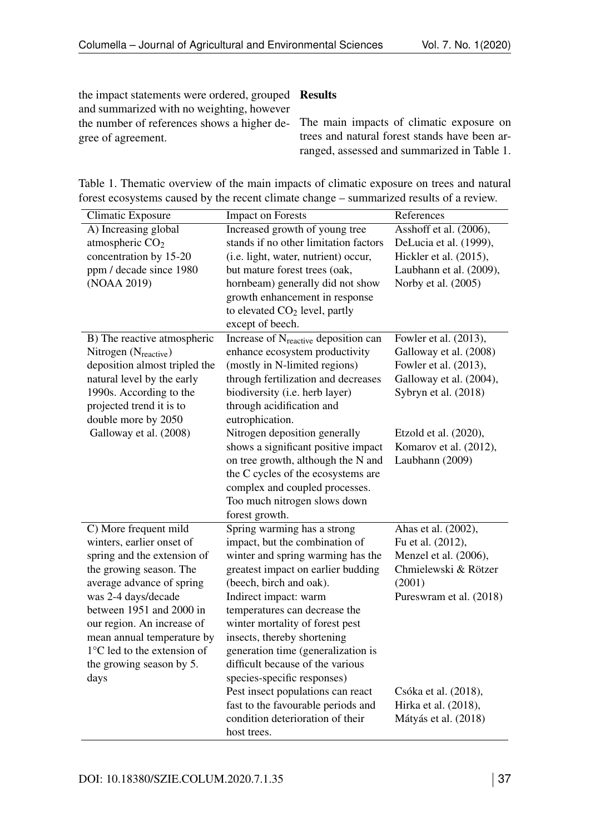the impact statements were ordered, grouped Results and summarized with no weighting, however the number of references shows a higher degree of agreement.

The main impacts of climatic exposure on trees and natural forest stands have been arranged, assessed and summarized in Table [1.](#page--1-0)

Table 1. Thematic overview of the main impacts of climatic exposure on trees and natural forest ecosystems caused by the recent climate change – summarized results of a review.

| References<br><b>Impact on Forests</b><br>Climatic Exposure                                              |  |
|----------------------------------------------------------------------------------------------------------|--|
| A) Increasing global<br>Increased growth of young tree<br>Asshoff et al. $(2006)$ ,                      |  |
| atmospheric $CO2$<br>stands if no other limitation factors<br>DeLucia et al. (1999),                     |  |
| concentration by 15-20<br>(i.e. light, water, nutrient) occur,<br>Hickler et al. (2015),                 |  |
| ppm / decade since 1980<br>but mature forest trees (oak,<br>Laubhann et al. (2009),                      |  |
| (NOAA 2019)<br>Norby et al. (2005)<br>hornbeam) generally did not show                                   |  |
| growth enhancement in response                                                                           |  |
| to elevated $CO2$ level, partly                                                                          |  |
| except of beech.                                                                                         |  |
| Fowler et al. (2013),<br>B) The reactive atmospheric<br>Increase of N <sub>reactive</sub> deposition can |  |
| enhance ecosystem productivity<br>Galloway et al. (2008)<br>Nitrogen $(N_{\text{reactive}})$             |  |
| deposition almost tripled the<br>(mostly in N-limited regions)<br>Fowler et al. (2013),                  |  |
| natural level by the early<br>through fertilization and decreases<br>Galloway et al. (2004),             |  |
| biodiversity (i.e. herb layer)<br>1990s. According to the<br>Sybryn et al. (2018)                        |  |
| projected trend it is to<br>through acidification and                                                    |  |
| double more by 2050<br>eutrophication.                                                                   |  |
| Galloway et al. (2008)<br>Nitrogen deposition generally<br>Etzold et al. (2020),                         |  |
| shows a significant positive impact<br>Komarov et al. (2012),                                            |  |
| on tree growth, although the N and<br>Laubhann (2009)                                                    |  |
| the C cycles of the ecosystems are                                                                       |  |
| complex and coupled processes.                                                                           |  |
| Too much nitrogen slows down                                                                             |  |
| forest growth.                                                                                           |  |
| C) More frequent mild<br>Ahas et al. (2002),<br>Spring warming has a strong                              |  |
| winters, earlier onset of<br>impact, but the combination of<br>Fu et al. (2012),                         |  |
| spring and the extension of<br>Menzel et al. (2006),<br>winter and spring warming has the                |  |
| greatest impact on earlier budding<br>the growing season. The<br>Chmielewski & Rötzer                    |  |
| average advance of spring<br>(beech, birch and oak).<br>(2001)                                           |  |
| was 2-4 days/decade<br>Indirect impact: warm<br>Pureswram et al. (2018)                                  |  |
| between 1951 and 2000 in<br>temperatures can decrease the                                                |  |
| our region. An increase of<br>winter mortality of forest pest                                            |  |
| insects, thereby shortening<br>mean annual temperature by                                                |  |
| $1^{\circ}$ C led to the extension of<br>generation time (generalization is                              |  |
| difficult because of the various<br>the growing season by 5.                                             |  |
| species-specific responses)<br>days                                                                      |  |
| Pest insect populations can react<br>Csóka et al. (2018),                                                |  |
| fast to the favourable periods and<br>Hirka et al. (2018),                                               |  |
| condition deterioration of their<br>Mátyás et al. (2018)                                                 |  |
| host trees.                                                                                              |  |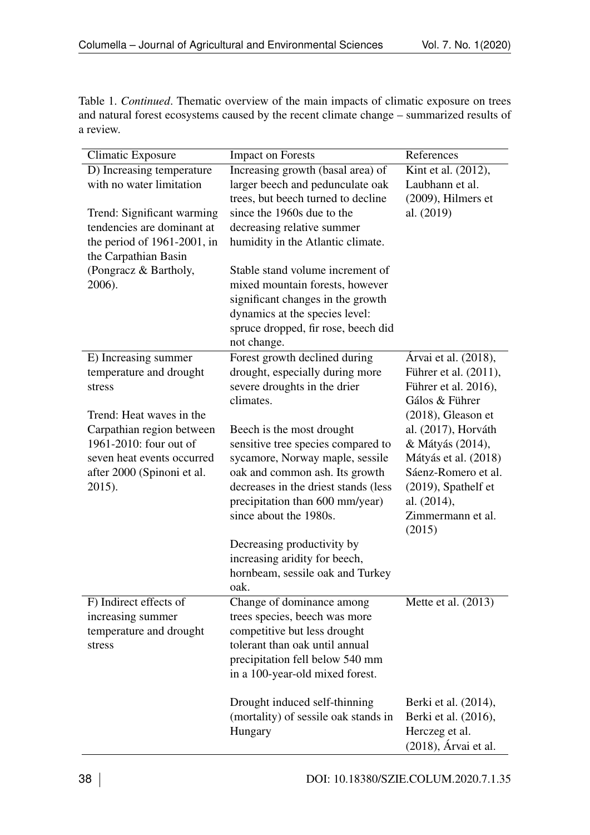Table 1. *Continued*. Thematic overview of the main impacts of climatic exposure on trees and natural forest ecosystems caused by the recent climate change – summarized results of a review.

| Climatic Exposure              | <b>Impact on Forests</b>             | References             |
|--------------------------------|--------------------------------------|------------------------|
| D) Increasing temperature      | Increasing growth (basal area) of    | Kint et al. (2012),    |
| with no water limitation       | larger beech and pedunculate oak     | Laubhann et al.        |
|                                | trees, but beech turned to decline   | (2009), Hilmers et     |
| Trend: Significant warming     | since the 1960s due to the           | al. (2019)             |
| tendencies are dominant at     | decreasing relative summer           |                        |
| the period of $1961-2001$ , in | humidity in the Atlantic climate.    |                        |
| the Carpathian Basin           |                                      |                        |
| (Pongracz & Bartholy,          | Stable stand volume increment of     |                        |
| 2006).                         | mixed mountain forests, however      |                        |
|                                | significant changes in the growth    |                        |
|                                | dynamics at the species level:       |                        |
|                                | spruce dropped, fir rose, beech did  |                        |
|                                | not change.                          |                        |
| E) Increasing summer           | Forest growth declined during        | Árvai et al. (2018),   |
| temperature and drought        | drought, especially during more      | Führer et al. (2011),  |
| stress                         | severe droughts in the drier         | Führer et al. 2016),   |
|                                | climates.                            | Gálos & Führer         |
| Trend: Heat waves in the       |                                      | $(2018)$ , Gleason et  |
| Carpathian region between      | Beech is the most drought            | al. (2017), Horváth    |
| 1961-2010: four out of         | sensitive tree species compared to   | & Mátyás (2014),       |
| seven heat events occurred     | sycamore, Norway maple, sessile      | Mátyás et al. (2018)   |
| after 2000 (Spinoni et al.     | oak and common ash. Its growth       | Sáenz-Romero et al.    |
| 2015).                         | decreases in the driest stands (less | $(2019)$ , Spathelf et |
|                                | precipitation than 600 mm/year)      | al. (2014),            |
|                                | since about the 1980s.               | Zimmermann et al.      |
|                                |                                      | (2015)                 |
|                                | Decreasing productivity by           |                        |
|                                | increasing aridity for beech,        |                        |
|                                | hornbeam, sessile oak and Turkey     |                        |
|                                | oak.                                 |                        |
| F) Indirect effects of         | Change of dominance among            | Mette et al. $(2013)$  |
| increasing summer              | trees species, beech was more        |                        |
| temperature and drought        | competitive but less drought         |                        |
| stress                         | tolerant than oak until annual       |                        |
|                                | precipitation fell below 540 mm      |                        |
|                                | in a 100-year-old mixed forest.      |                        |
|                                |                                      |                        |
|                                | Drought induced self-thinning        | Berki et al. (2014),   |
|                                | (mortality) of sessile oak stands in | Berki et al. (2016),   |
|                                | Hungary                              | Herczeg et al.         |
|                                |                                      | (2018), Árvai et al.   |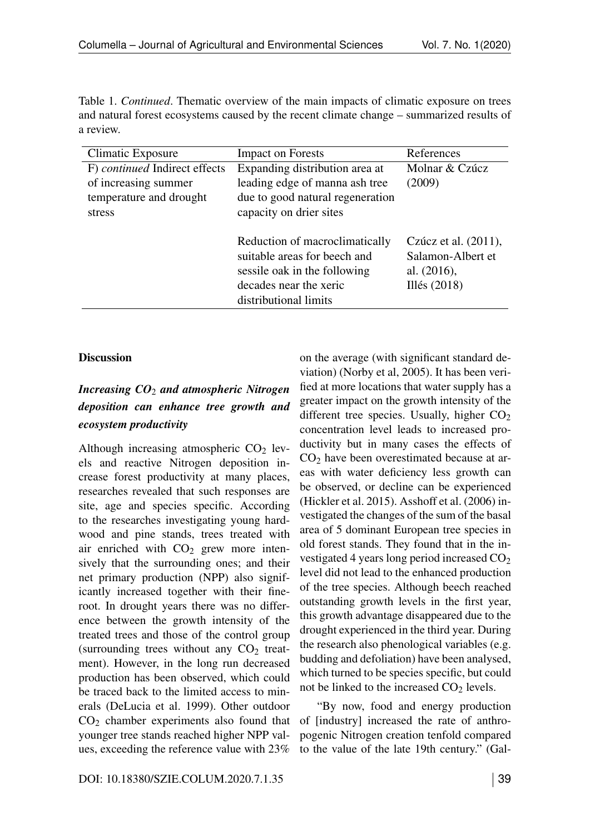Table 1. *Continued*. Thematic overview of the main impacts of climatic exposure on trees and natural forest ecosystems caused by the recent climate change – summarized results of a review.

| Climatic Exposure                                                                          | <b>Impact on Forests</b>                                                                                                                          | References                                                                    |
|--------------------------------------------------------------------------------------------|---------------------------------------------------------------------------------------------------------------------------------------------------|-------------------------------------------------------------------------------|
| F) continued Indirect effects<br>of increasing summer<br>temperature and drought<br>stress | Expanding distribution area at<br>leading edge of manna ash tree<br>due to good natural regeneration<br>capacity on drier sites                   | Molnar & Czúcz<br>(2009)                                                      |
|                                                                                            | Reduction of macroclimatically<br>suitable areas for beech and<br>sessile oak in the following<br>decades near the xeric<br>distributional limits | Czúcz et al. (2011),<br>Salamon-Albert et<br>al. $(2016)$ ,<br>Illés $(2018)$ |

## **Discussion**

# *Increasing CO*<sup>2</sup> *and atmospheric Nitrogen deposition can enhance tree growth and ecosystem productivity*

Although increasing atmospheric  $CO<sub>2</sub>$  levels and reactive Nitrogen deposition increase forest productivity at many places, researches revealed that such responses are site, age and species specific. According to the researches investigating young hardwood and pine stands, trees treated with air enriched with  $CO<sub>2</sub>$  grew more intensively that the surrounding ones; and their net primary production (NPP) also significantly increased together with their fineroot. In drought years there was no difference between the growth intensity of the treated trees and those of the control group (surrounding trees without any  $CO<sub>2</sub>$  treatment). However, in the long run decreased production has been observed, which could be traced back to the limited access to minerals (DeLucia et al. 1999). Other outdoor  $CO<sub>2</sub>$  chamber experiments also found that younger tree stands reached higher NPP values, exceeding the reference value with 23%

on the average (with significant standard deviation) (Norby et al, 2005). It has been verified at more locations that water supply has a greater impact on the growth intensity of the different tree species. Usually, higher  $CO<sub>2</sub>$ concentration level leads to increased productivity but in many cases the effects of  $CO<sub>2</sub>$  have been overestimated because at areas with water deficiency less growth can be observed, or decline can be experienced (Hickler et al. 2015). Asshoff et al. (2006) investigated the changes of the sum of the basal area of 5 dominant European tree species in old forest stands. They found that in the investigated 4 years long period increased  $CO<sub>2</sub>$ level did not lead to the enhanced production of the tree species. Although beech reached outstanding growth levels in the first year, this growth advantage disappeared due to the drought experienced in the third year. During the research also phenological variables (e.g. budding and defoliation) have been analysed, which turned to be species specific, but could not be linked to the increased  $CO<sub>2</sub>$  levels.

"By now, food and energy production of [industry] increased the rate of anthropogenic Nitrogen creation tenfold compared to the value of the late 19th century." (Gal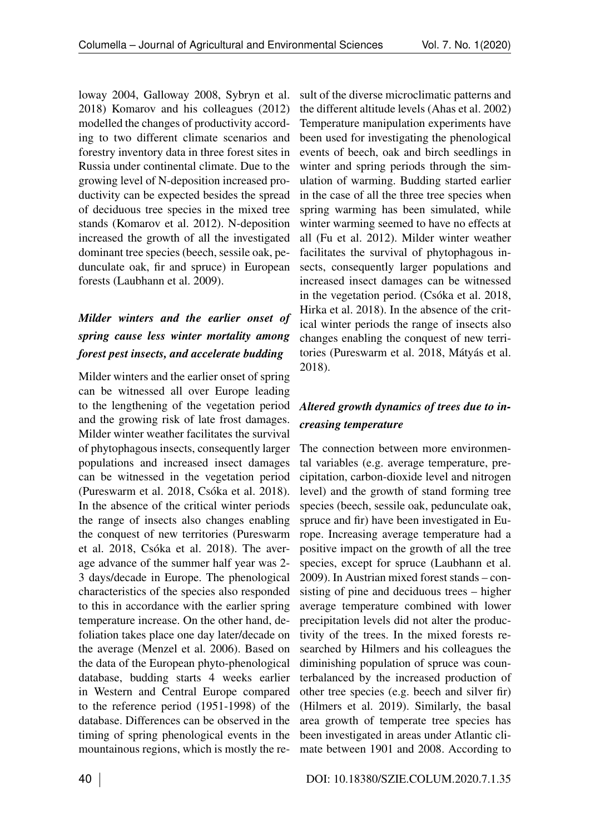loway 2004, Galloway 2008, Sybryn et al. 2018) Komarov and his colleagues (2012) modelled the changes of productivity according to two different climate scenarios and forestry inventory data in three forest sites in Russia under continental climate. Due to the growing level of N-deposition increased productivity can be expected besides the spread of deciduous tree species in the mixed tree stands (Komarov et al. 2012). N-deposition increased the growth of all the investigated dominant tree species (beech, sessile oak, pedunculate oak, fir and spruce) in European forests (Laubhann et al. 2009).

# *Milder winters and the earlier onset of spring cause less winter mortality among forest pest insects, and accelerate budding*

Milder winters and the earlier onset of spring can be witnessed all over Europe leading to the lengthening of the vegetation period and the growing risk of late frost damages. Milder winter weather facilitates the survival of phytophagous insects, consequently larger populations and increased insect damages can be witnessed in the vegetation period (Pureswarm et al. 2018, Csóka et al. 2018). In the absence of the critical winter periods the range of insects also changes enabling the conquest of new territories (Pureswarm et al. 2018, Csóka et al. 2018). The average advance of the summer half year was 2- 3 days/decade in Europe. The phenological characteristics of the species also responded to this in accordance with the earlier spring temperature increase. On the other hand, defoliation takes place one day later/decade on the average (Menzel et al. 2006). Based on the data of the European phyto-phenological database, budding starts 4 weeks earlier in Western and Central Europe compared to the reference period (1951-1998) of the database. Differences can be observed in the timing of spring phenological events in the mountainous regions, which is mostly the re-

sult of the diverse microclimatic patterns and the different altitude levels (Ahas et al. 2002) Temperature manipulation experiments have been used for investigating the phenological events of beech, oak and birch seedlings in winter and spring periods through the simulation of warming. Budding started earlier in the case of all the three tree species when spring warming has been simulated, while winter warming seemed to have no effects at all (Fu et al. 2012). Milder winter weather facilitates the survival of phytophagous insects, consequently larger populations and increased insect damages can be witnessed in the vegetation period. (Csóka et al. 2018, Hirka et al. 2018). In the absence of the critical winter periods the range of insects also changes enabling the conquest of new territories (Pureswarm et al. 2018, Mátyás et al. 2018).

# *Altered growth dynamics of trees due to increasing temperature*

The connection between more environmental variables (e.g. average temperature, precipitation, carbon-dioxide level and nitrogen level) and the growth of stand forming tree species (beech, sessile oak, pedunculate oak, spruce and fir) have been investigated in Europe. Increasing average temperature had a positive impact on the growth of all the tree species, except for spruce (Laubhann et al. 2009). In Austrian mixed forest stands – consisting of pine and deciduous trees – higher average temperature combined with lower precipitation levels did not alter the productivity of the trees. In the mixed forests researched by Hilmers and his colleagues the diminishing population of spruce was counterbalanced by the increased production of other tree species (e.g. beech and silver fir) (Hilmers et al. 2019). Similarly, the basal area growth of temperate tree species has been investigated in areas under Atlantic climate between 1901 and 2008. According to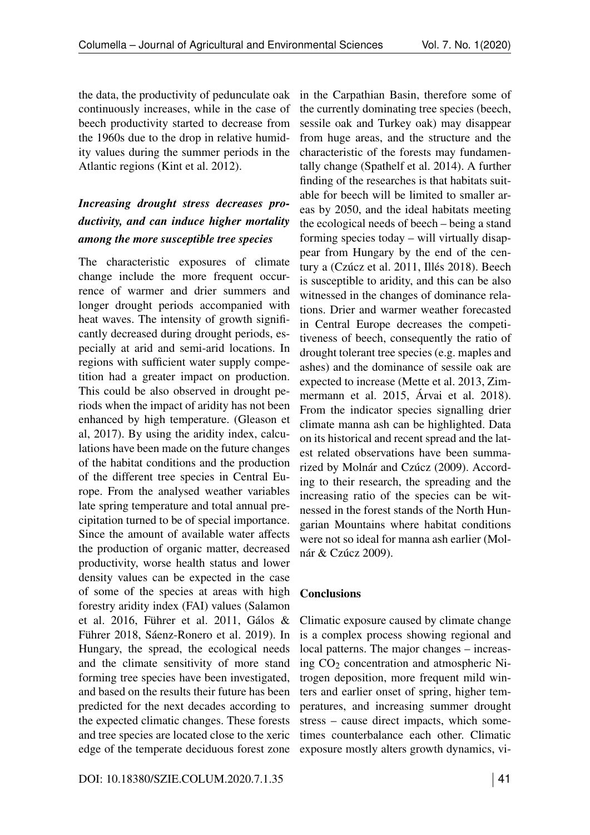the data, the productivity of pedunculate oak continuously increases, while in the case of beech productivity started to decrease from the 1960s due to the drop in relative humidity values during the summer periods in the Atlantic regions (Kint et al. 2012).

# *Increasing drought stress decreases productivity, and can induce higher mortality among the more susceptible tree species*

The characteristic exposures of climate change include the more frequent occurrence of warmer and drier summers and longer drought periods accompanied with heat waves. The intensity of growth significantly decreased during drought periods, especially at arid and semi-arid locations. In regions with sufficient water supply competition had a greater impact on production. This could be also observed in drought periods when the impact of aridity has not been enhanced by high temperature. (Gleason et al, 2017). By using the aridity index, calculations have been made on the future changes of the habitat conditions and the production of the different tree species in Central Europe. From the analysed weather variables late spring temperature and total annual precipitation turned to be of special importance. Since the amount of available water affects the production of organic matter, decreased productivity, worse health status and lower density values can be expected in the case of some of the species at areas with high forestry aridity index (FAI) values (Salamon et al. 2016, Führer et al. 2011, Gálos & Führer 2018, Sáenz-Ronero et al. 2019). In Hungary, the spread, the ecological needs and the climate sensitivity of more stand forming tree species have been investigated, and based on the results their future has been predicted for the next decades according to the expected climatic changes. These forests and tree species are located close to the xeric edge of the temperate deciduous forest zone

DOI: 10.18380/SZIE.COLUM.2020.7.1.35 41

in the Carpathian Basin, therefore some of the currently dominating tree species (beech, sessile oak and Turkey oak) may disappear from huge areas, and the structure and the characteristic of the forests may fundamentally change (Spathelf et al. 2014). A further finding of the researches is that habitats suitable for beech will be limited to smaller areas by 2050, and the ideal habitats meeting the ecological needs of beech – being a stand forming species today – will virtually disappear from Hungary by the end of the century a (Czúcz et al. 2011, Illés 2018). Beech is susceptible to aridity, and this can be also witnessed in the changes of dominance relations. Drier and warmer weather forecasted in Central Europe decreases the competitiveness of beech, consequently the ratio of drought tolerant tree species (e.g. maples and ashes) and the dominance of sessile oak are expected to increase (Mette et al. 2013, Zimmermann et al. 2015, Árvai et al. 2018). From the indicator species signalling drier climate manna ash can be highlighted. Data on its historical and recent spread and the latest related observations have been summarized by Molnár and Czúcz (2009). According to their research, the spreading and the increasing ratio of the species can be witnessed in the forest stands of the North Hungarian Mountains where habitat conditions were not so ideal for manna ash earlier (Molnár & Czúcz 2009).

## **Conclusions**

Climatic exposure caused by climate change is a complex process showing regional and local patterns. The major changes – increasing  $CO<sub>2</sub>$  concentration and atmospheric Nitrogen deposition, more frequent mild winters and earlier onset of spring, higher temperatures, and increasing summer drought stress – cause direct impacts, which sometimes counterbalance each other. Climatic exposure mostly alters growth dynamics, vi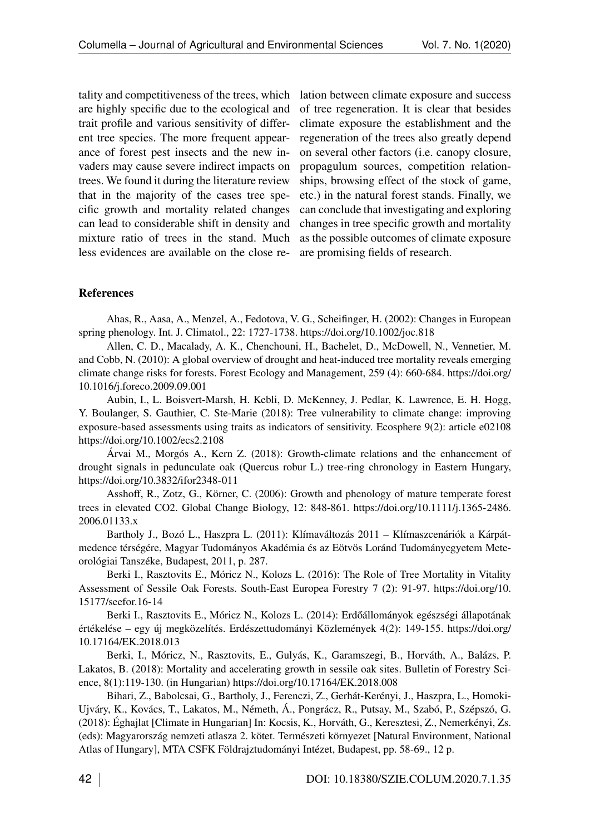tality and competitiveness of the trees, which are highly specific due to the ecological and trait profile and various sensitivity of different tree species. The more frequent appearance of forest pest insects and the new invaders may cause severe indirect impacts on trees. We found it during the literature review that in the majority of the cases tree specific growth and mortality related changes can lead to considerable shift in density and mixture ratio of trees in the stand. Much less evidences are available on the close relation between climate exposure and success of tree regeneration. It is clear that besides climate exposure the establishment and the regeneration of the trees also greatly depend on several other factors (i.e. canopy closure, propagulum sources, competition relationships, browsing effect of the stock of game, etc.) in the natural forest stands. Finally, we can conclude that investigating and exploring changes in tree specific growth and mortality as the possible outcomes of climate exposure are promising fields of research.

## **References**

Ahas, R., Aasa, A., Menzel, A., Fedotova, V. G., Scheifinger, H. (2002): Changes in European spring phenology. Int. J. Climatol., 22: 1727-1738.<https://doi.org/10.1002/joc.818>

Allen, C. D., Macalady, A. K., Chenchouni, H., Bachelet, D., McDowell, N., Vennetier, M. and Cobb, N. (2010): A global overview of drought and heat-induced tree mortality reveals emerging climate change risks for forests. Forest Ecology and Management, 259 (4): 660-684. [https://doi.org/](https://doi.org/10.1016/j.foreco.2009.09.001) [10.1016/j.foreco.2009.09.001](https://doi.org/10.1016/j.foreco.2009.09.001)

Aubin, I., L. Boisvert-Marsh, H. Kebli, D. McKenney, J. Pedlar, K. Lawrence, E. H. Hogg, Y. Boulanger, S. Gauthier, C. Ste-Marie (2018): Tree vulnerability to climate change: improving exposure-based assessments using traits as indicators of sensitivity. Ecosphere 9(2): article e02108 [https://doi.org/10.1002/ecs2.2108](https://doi.org/%2010.1002/ecs2.2108)

Árvai M., Morgós A., Kern Z. (2018): Growth-climate relations and the enhancement of drought signals in pedunculate oak (Quercus robur L.) tree-ring chronology in Eastern Hungary, <https://doi.org/10.3832/ifor2348-011>

Asshoff, R., Zotz, G., Körner, C. (2006): Growth and phenology of mature temperate forest trees in elevated CO2. Global Change Biology, 12: 848-861. [https://doi.org/10.1111/j.1365-2486.](https://doi.org/10.1111/j.1365-2486.2006.01133.x) [2006.01133.x](https://doi.org/10.1111/j.1365-2486.2006.01133.x)

Bartholy J., Bozó L., Haszpra L. (2011): Klímaváltozás 2011 – Klímaszcenáriók a Kárpátmedence térségére, Magyar Tudományos Akadémia és az Eötvös Loránd Tudományegyetem Meteorológiai Tanszéke, Budapest, 2011, p. 287.

Berki I., Rasztovits E., Móricz N., Kolozs L. (2016): The Role of Tree Mortality in Vitality Assessment of Sessile Oak Forests. South-East Europea Forestry 7 (2): 91-97. [https://doi.org/10.](https://doi.org/10.15177/seefor.16-14) [15177/seefor.16-14](https://doi.org/10.15177/seefor.16-14)

Berki I., Rasztovits E., Móricz N., Kolozs L. (2014): Erdőállományok egészségi állapotának értékelése – egy új megközelítés. Erdészettudományi Közlemények 4(2): 149-155. [https://doi.org/](https://doi.org/%2010.17164/EK.2018.013) [10.17164/EK.2018.013](https://doi.org/%2010.17164/EK.2018.013)

Berki, I., Móricz, N., Rasztovits, E., Gulyás, K., Garamszegi, B., Horváth, A., Balázs, P. Lakatos, B. (2018): Mortality and accelerating growth in sessile oak sites. Bulletin of Forestry Science, 8(1):119-130. (in Hungarian)<https://doi.org/10.17164/EK.2018.008>

Bihari, Z., Babolcsai, G., Bartholy, J., Ferenczi, Z., Gerhát-Kerényi, J., Haszpra, L., Homoki-Ujváry, K., Kovács, T., Lakatos, M., Németh, Á., Pongrácz, R., Putsay, M., Szabó, P., Szépszó, G. (2018): Éghajlat [Climate in Hungarian] In: Kocsis, K., Horváth, G., Keresztesi, Z., Nemerkényi, Zs. (eds): Magyarország nemzeti atlasza 2. kötet. Természeti környezet [Natural Environment, National Atlas of Hungary], MTA CSFK Földrajztudományi Intézet, Budapest, pp. 58-69., 12 p.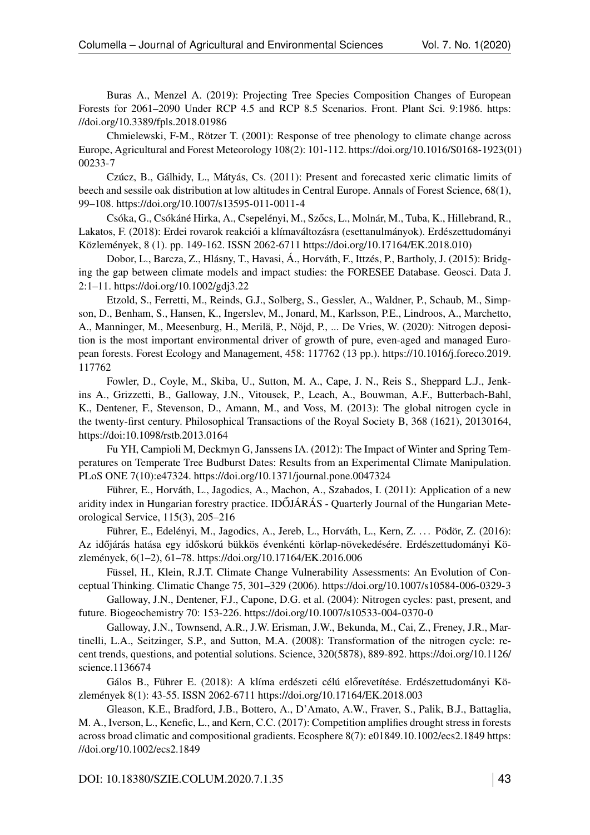Buras A., Menzel A. (2019): Projecting Tree Species Composition Changes of European Forests for 2061–2090 Under RCP 4.5 and RCP 8.5 Scenarios. Front. Plant Sci. 9:1986. [https:](https://doi.org/10.3389/fpls.2018.01986) [//doi.org/10.3389/fpls.2018.01986](https://doi.org/10.3389/fpls.2018.01986)

Chmielewski, F-M., Rötzer T. (2001): Response of tree phenology to climate change across Europe, Agricultural and Forest Meteorology 108(2): 101-112. [https://doi.org/10.1016/S0168-1923\(0](https://doi.org/%2010.1016/S0168-1923(01)00233-7)1) [00233-7](https://doi.org/%2010.1016/S0168-1923(01)00233-7)

Czúcz, B., Gálhidy, L., Mátyás, Cs. (2011): Present and forecasted xeric climatic limits of beech and sessile oak distribution at low altitudes in Central Europe. Annals of Forest Science, 68(1), 99–108. [https://doi.org/10.1007/s13595-011-0011-4](https://doi.org/%2010.1007/s13595-011-0011-4)

Csóka, G., Csókáné Hirka, A., Csepelényi, M., Szőcs, L., Molnár, M., Tuba, K., Hillebrand, R., Lakatos, F. (2018): Erdei rovarok reakciói a klímaváltozásra (esettanulmányok). Erdészettudományi Közlemények, 8 (1). pp. 149-162. ISSN 2062-6711 [https://doi.org/10.17164/EK.2018.010\)](https://doi.org/10.17164/EK.2018.010))

Dobor, L., Barcza, Z., Hlásny, T., Havasi, Á., Horváth, F., Ittzés, P., Bartholy, J. (2015): Bridging the gap between climate models and impact studies: the FORESEE Database. Geosci. Data J. 2:1–11.<https://doi.org/10.1002/gdj3.22>

Etzold, S., Ferretti, M., Reinds, G.J., Solberg, S., Gessler, A., Waldner, P., Schaub, M., Simpson, D., Benham, S., Hansen, K., Ingerslev, M., Jonard, M., Karlsson, P.E., Lindroos, A., Marchetto, A., Manninger, M., Meesenburg, H., Merilä, P., Nöjd, P., ... De Vries, W. (2020): Nitrogen deposition is the most important environmental driver of growth of pure, even-aged and managed European forests. Forest Ecology and Management, 458: 117762 (13 pp.). [https://10.1016/j.foreco.2019.](https://%2010.1016/j.foreco.2019.117762) [117762](https://%2010.1016/j.foreco.2019.117762)

Fowler, D., Coyle, M., Skiba, U., Sutton, M. A., Cape, J. N., Reis S., Sheppard L.J., Jenkins A., Grizzetti, B., Galloway, J.N., Vitousek, P., Leach, A., Bouwman, A.F., Butterbach-Bahl, K., Dentener, F., Stevenson, D., Amann, M., and Voss, M. (2013): The global nitrogen cycle in the twenty-first century. Philosophical Transactions of the Royal Society B, 368 (1621), 20130164, <https://doi:10.1098/rstb.2013.0164>

Fu YH, Campioli M, Deckmyn G, Janssens IA. (2012): The Impact of Winter and Spring Temperatures on Temperate Tree Budburst Dates: Results from an Experimental Climate Manipulation. PLoS ONE 7(10):e47324.<https://doi.org/10.1371/journal.pone.0047324>

Führer, E., Horváth, L., Jagodics, A., Machon, A., Szabados, I. (2011): Application of a new aridity index in Hungarian forestry practice. IDŐJÁRÁS - Quarterly Journal of the Hungarian Meteorological Service, 115(3), 205–216

Führer, E., Edelényi, M., Jagodics, A., Jereb, L., Horváth, L., Kern, Z. . . . Pödör, Z. (2016): Az időjárás hatása egy időskorú bükkös évenkénti körlap-növekedésére. Erdészettudományi Közlemények, 6(1–2), 61–78. [https://doi.org/10.17164/EK.2016.006](https://doi.org/%2010.17164/EK.2016.006)

Füssel, H., Klein, R.J.T. Climate Change Vulnerability Assessments: An Evolution of Conceptual Thinking. Climatic Change 75, 301–329 (2006).<https://doi.org/10.1007/s10584-006-0329-3>

Galloway, J.N., Dentener, F.J., Capone, D.G. et al. (2004): Nitrogen cycles: past, present, and future. Biogeochemistry 70: 153-226.<https://doi.org/10.1007/s10533-004-0370-0>

Galloway, J.N., Townsend, A.R., J.W. Erisman, J.W., Bekunda, M., Cai, Z., Freney, J.R., Martinelli, L.A., Seitzinger, S.P., and Sutton, M.A. (2008): Transformation of the nitrogen cycle: recent trends, questions, and potential solutions. Science, 320(5878), 889-892. [https://doi.org/10.1126/](https://doi.org/10.1126/science.1136674) [science.1136674](https://doi.org/10.1126/science.1136674)

Gálos B., Führer E. (2018): A klíma erdészeti célú előrevetítése. Erdészettudományi Közlemények 8(1): 43-55. ISSN 2062-6711<https://doi.org/10.17164/EK.2018.003>

Gleason, K.E., Bradford, J.B., Bottero, A., D'Amato, A.W., Fraver, S., Palik, B.J., Battaglia, M. A., Iverson, L., Kenefic, L., and Kern, C.C. (2017): Competition amplifies drought stress in forests across broad climatic and compositional gradients. Ecosphere 8(7): e01849.10.1002/ecs2.1849 [https:](https://doi.org/%2010.1002/ecs2.1849) [//doi.org/10.1002/ecs2.1849](https://doi.org/%2010.1002/ecs2.1849)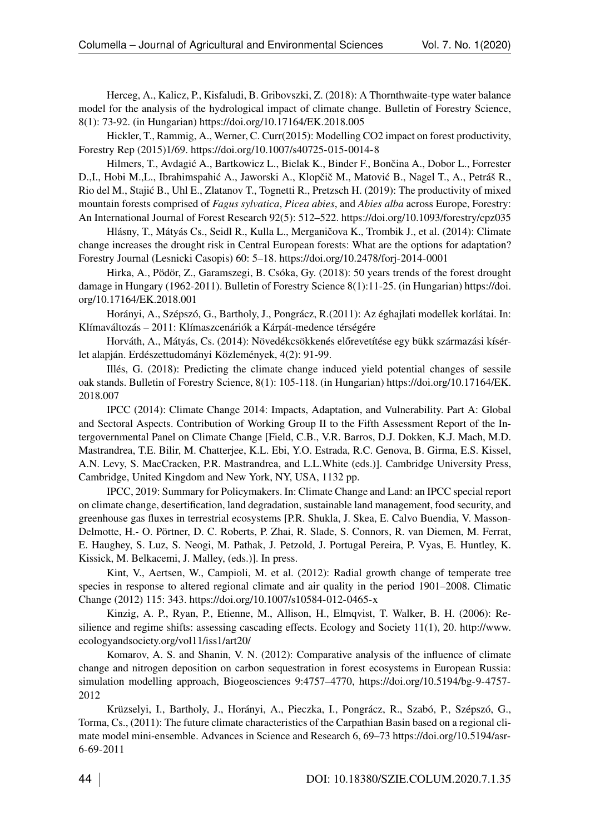Herceg, A., Kalicz, P., Kisfaludi, B. Gribovszki, Z. (2018): A Thornthwaite-type water balance model for the analysis of the hydrological impact of climate change. Bulletin of Forestry Science, 8(1): 73-92. (in Hungarian)<https://doi.org/10.17164/EK.2018.005>

Hickler, T., Rammig, A., Werner, C. Curr(2015): Modelling CO2 impact on forest productivity, Forestry Rep (2015)1/69.<https://doi.org/10.1007/s40725-015-0014-8>

Hilmers, T., Avdagić A., Bartkowicz L., Bielak K., Binder F., Bončina A., Dobor L., Forrester D.,I., Hobi M.,L., Ibrahimspahić A., Jaworski A., Klopčič M., Matović B., Nagel T., A., Petráš R., Rio del M., Stajić B., Uhl E., Zlatanov T., Tognetti R., Pretzsch H. (2019): The productivity of mixed mountain forests comprised of *Fagus sylvatica*, *Picea abies*, and *Abies alba* across Europe, Forestry: An International Journal of Forest Research 92(5): 512–522.<https://doi.org/10.1093/forestry/cpz035>

Hlásny, T., Mátyás Cs., Seidl R., Kulla L., Merganičova K., Trombik J., et al. (2014): Climate change increases the drought risk in Central European forests: What are the options for adaptation? Forestry Journal (Lesnicki Casopis) 60: 5–18.<https://doi.org/10.2478/forj-2014-0001>

Hirka, A., Pödör, Z., Garamszegi, B. Csóka, Gy. (2018): 50 years trends of the forest drought damage in Hungary (1962-2011). Bulletin of Forestry Science 8(1):11-25. (in Hungarian) [https://doi.](https://doi.org/10.17164/EK.2018.001) [org/10.17164/EK.2018.001](https://doi.org/10.17164/EK.2018.001)

Horányi, A., Szépszó, G., Bartholy, J., Pongrácz, R.(2011): Az éghajlati modellek korlátai. In: Klímaváltozás – 2011: Klímaszcenáriók a Kárpát-medence térségére

Horváth, A., Mátyás, Cs. (2014): Növedékcsökkenés előrevetítése egy bükk származási kísérlet alapján. Erdészettudományi Közlemények, 4(2): 91-99.

Illés, G. (2018): Predicting the climate change induced yield potential changes of sessile oak stands. Bulletin of Forestry Science, 8(1): 105-118. (in Hungarian) [https://doi.org/10.17164/EK.](https://doi.org/%2010.17164/EK.2018.007) [2018.007](https://doi.org/%2010.17164/EK.2018.007)

IPCC (2014): Climate Change 2014: Impacts, Adaptation, and Vulnerability. Part A: Global and Sectoral Aspects. Contribution of Working Group II to the Fifth Assessment Report of the Intergovernmental Panel on Climate Change [Field, C.B., V.R. Barros, D.J. Dokken, K.J. Mach, M.D. Mastrandrea, T.E. Bilir, M. Chatterjee, K.L. Ebi, Y.O. Estrada, R.C. Genova, B. Girma, E.S. Kissel, A.N. Levy, S. MacCracken, P.R. Mastrandrea, and L.L.White (eds.)]. Cambridge University Press, Cambridge, United Kingdom and New York, NY, USA, 1132 pp.

IPCC, 2019: Summary for Policymakers. In: Climate Change and Land: an IPCC special report on climate change, desertification, land degradation, sustainable land management, food security, and greenhouse gas fluxes in terrestrial ecosystems [P.R. Shukla, J. Skea, E. Calvo Buendia, V. Masson-Delmotte, H.- O. Pörtner, D. C. Roberts, P. Zhai, R. Slade, S. Connors, R. van Diemen, M. Ferrat, E. Haughey, S. Luz, S. Neogi, M. Pathak, J. Petzold, J. Portugal Pereira, P. Vyas, E. Huntley, K. Kissick, M. Belkacemi, J. Malley, (eds.)]. In press.

Kint, V., Aertsen, W., Campioli, M. et al. (2012): Radial growth change of temperate tree species in response to altered regional climate and air quality in the period 1901–2008. Climatic Change (2012) 115: 343.<https://doi.org/10.1007/s10584-012-0465-x>

Kinzig, A. P., Ryan, P., Etienne, M., Allison, H., Elmqvist, T. Walker, B. H. (2006): Resilience and regime shifts: assessing cascading effects. Ecology and Society 11(1), 20. [http://www.](http://www.ecologyandsociety.org/vol11/iss1/art20/) [ecologyandsociety.org/vol11/iss1/art20/](http://www.ecologyandsociety.org/vol11/iss1/art20/)

Komarov, A. S. and Shanin, V. N. (2012): Comparative analysis of the influence of climate change and nitrogen deposition on carbon sequestration in forest ecosystems in European Russia: simulation modelling approach, Biogeosciences 9:4757–4770, [https://doi.org/10.5194/bg-9-4757-](https://doi.org/10.5194/bg-9-4757-2012) [2012](https://doi.org/10.5194/bg-9-4757-2012)

Krüzselyi, I., Bartholy, J., Horányi, A., Pieczka, I., Pongrácz, R., Szabó, P., Szépszó, G., Torma, Cs., (2011): The future climate characteristics of the Carpathian Basin based on a regional climate model mini-ensemble. Advances in Science and Research 6, 69–73 [https://doi.org/10.5194/asr-](https://doi.org/10.5194/asr-6-69-2011)[6-69-2011](https://doi.org/10.5194/asr-6-69-2011)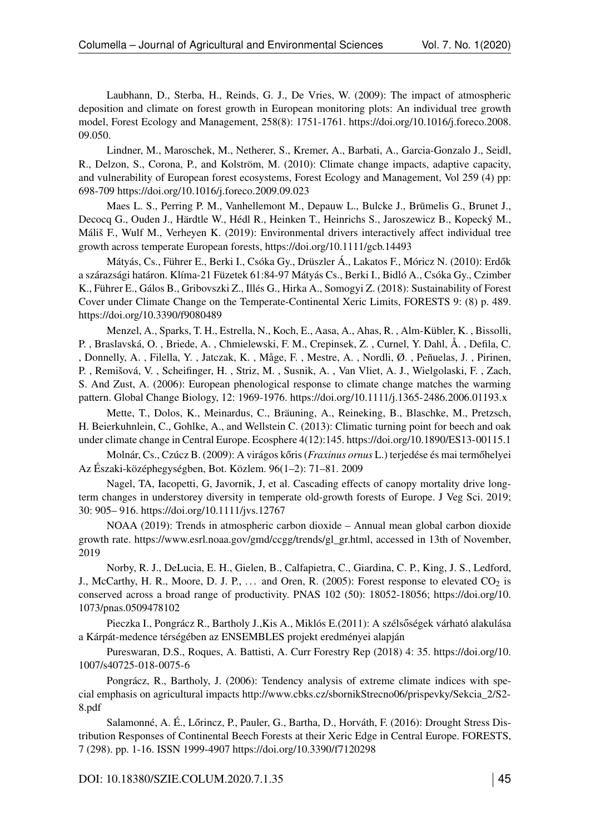Laubhann, D., Sterba, H., Reinds, G. J., De Vries, W. (2009): The impact of atmospheric deposition and climate on forest growth in European monitoring plots: An individual tree growth model, Forest Ecology and Management, 258(8): 1751-1761. [https://doi.org/10.1016/j.foreco.2008.](https://doi.org/10.1016/j.foreco.2008.09.050.) [09.050.](https://doi.org/10.1016/j.foreco.2008.09.050.)

Lindner, M., Maroschek, M., Netherer, S., Kremer, A., Barbati, A., Garcia-Gonzalo J., Seidl, R., Delzon, S., Corona, P., and Kolström, M. (2010): Climate change impacts, adaptive capacity, and vulnerability of European forest ecosystems, Forest Ecology and Management, Vol 259 (4) pp: 698-709 [https://doi.org/10.1016/j.foreco.2009.09.023](https://doi.org/%2010.1016/j.foreco.2009.09.023)

Maes L. S., Perring P. M., Vanhellemont M., Depauw L., Bulcke J., Brūmelis G., Brunet J., Decocq G., Ouden J., Härdtle W., Hédl R., Heinken T., Heinrichs S., Jaroszewicz B., Kopecký M., Máliš F., Wulf M., Verheyen K. (2019): Environmental drivers interactively affect individual tree growth across temperate European forests,<https://doi.org/10.1111/gcb.14493>

Mátyás, Cs., Führer E., Berki I., Csóka Gy., Drüszler Á., Lakatos F., Móricz N. (2010): Erdők a szárazsági határon. Klíma-21 Füzetek 61:84-97 Mátyás Cs., Berki I., Bidló A., Csóka Gy., Czimber K., Führer E., Gálos B., Gribovszki Z., Illés G., Hirka A., Somogyi Z. (2018): Sustainability of Forest Cover under Climate Change on the Temperate-Continental Xeric Limits, FORESTS 9: (8) p. 489. <https://doi.org/10.3390/f9080489>

Menzel, A., Sparks, T. H., Estrella, N., Koch, E., Aasa, A., Ahas, R. , Alm-Kübler, K. , Bissolli, P. , Braslavská, O. , Briede, A. , Chmielewski, F. M., Crepinsek, Z. , Curnel, Y. Dahl, Å. , Defila, C. , Donnelly, A. , Filella, Y. , Jatczak, K. , Måge, F. , Mestre, A. , Nordli, Ø. , Peñuelas, J. , Pirinen, P. , Remišová, V. , Scheifinger, H. , Striz, M. , Susnik, A. , Van Vliet, A. J., Wielgolaski, F. , Zach, S. And Zust, A. (2006): European phenological response to climate change matches the warming pattern. Global Change Biology, 12: 1969-1976.<https://doi.org/10.1111/j.1365-2486.2006.01193.x>

Mette, T., Dolos, K., Meinardus, C., Bräuning, A., Reineking, B., Blaschke, M., Pretzsch, H. Beierkuhnlein, C., Gohlke, A., and Wellstein C. (2013): Climatic turning point for beech and oak under climate change in Central Europe. Ecosphere 4(12):145.<https://doi.org/10.1890/ES13-00115.1>

Molnár, Cs., Czúcz B. (2009): A virágos kőris (*Fraxinus ornus* L.) terjedése és mai termőhelyei Az Északi-középhegységben, Bot. Közlem. 96(1–2): 71–81. 2009

Nagel, TA, Iacopetti, G, Javornik, J, et al. Cascading effects of canopy mortality drive longterm changes in understorey diversity in temperate old-growth forests of Europe. J Veg Sci. 2019; 30: 905– 916.<https://doi.org/10.1111/jvs.12767>

NOAA (2019): Trends in atmospheric carbon dioxide – Annual mean global carbon dioxide growth rate. [https://www.esrl.noaa.gov/gmd/ccgg/trends/gl\\_gr.html,](https://www.esrl.noaa.gov/gmd/ccgg/trends/gl_gr.html) accessed in 13th of November, 2019

Norby, R. J., DeLucia, E. H., Gielen, B., Calfapietra, C., Giardina, C. P., King, J. S., Ledford, J., McCarthy, H. R., Moore, D. J. P.,  $\dots$  and Oren, R. (2005): Forest response to elevated CO<sub>2</sub> is conserved across a broad range of productivity. PNAS 102 (50): 18052-18056; [https://doi.org/10.](https://doi.org/10.1073/pnas.0509478102) [1073/pnas.0509478102](https://doi.org/10.1073/pnas.0509478102)

Pieczka I., Pongrácz R., Bartholy J., Kis A., Miklós E.(2011): A szélsőségek várható alakulása a Kárpát-medence térségében az ENSEMBLES projekt eredményei alapján

Pureswaran, D.S., Roques, A. Battisti, A. Curr Forestry Rep (2018) 4: 35. [https://doi.org/10.](https://doi.org/10.1007/s40725-018-0075-6) [1007/s40725-018-0075-6](https://doi.org/10.1007/s40725-018-0075-6)

Pongrácz, R., Bartholy, J. (2006): Tendency analysis of extreme climate indices with special emphasis on agricultural impacts [http://www.cbks.cz/sbornikStrecno06/prispevky/Sekcia\\_2/S2-](http://www.cbks.cz/sbornikStrecno06/prispevky/Sekcia_2/S2-8.pdf) [8.pdf](http://www.cbks.cz/sbornikStrecno06/prispevky/Sekcia_2/S2-8.pdf)

Salamonné, A. É., Lőrincz, P., Pauler, G., Bartha, D., Horváth, F. (2016): Drought Stress Distribution Responses of Continental Beech Forests at their Xeric Edge in Central Europe. FORESTS, 7 (298). pp. 1-16. ISSN 1999-4907 [https://doi.org/10.3390/f7120298](https://doi.org/%2010.3390/f7120298)